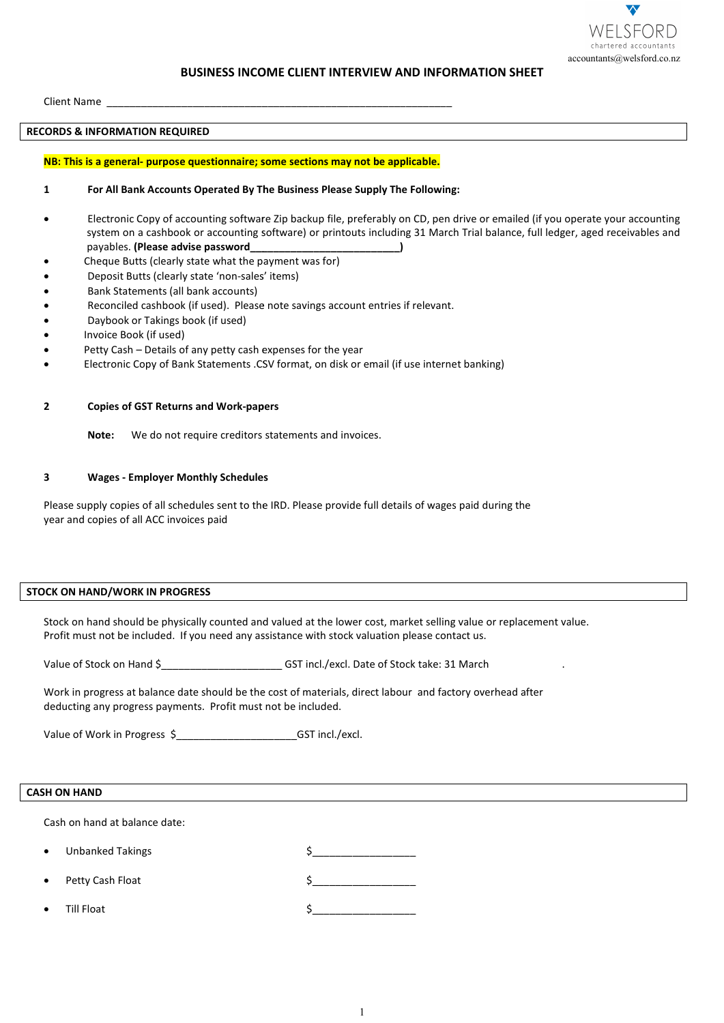

# **BUSINESS INCOME CLIENT INTERVIEW AND INFORMATION SHEET BUSINESS INCOME CLIENT**

Client Name \_\_\_\_\_\_\_\_\_\_\_\_\_\_\_\_\_\_\_\_\_\_\_\_\_\_\_\_\_\_\_\_\_\_\_\_\_\_\_\_\_\_\_\_\_\_\_\_\_\_\_\_\_\_\_\_\_\_\_\_ Name

### **RECORDS & INFORMATION REQUIRED**

#### **NB: This is a general- purpose questionnaire; some sections may not be applicable.**

#### **1 For All Bank Accounts Operated By The Business Please Supply The Following: All**

- Electronic Copy of accounting software Zip backup file, preferably on CD, pen drive or emailed (if you operate your accounting Electronic Copy of accounting software Zip backup file, preferably on CD, pen drive or emailed (if you operate your accounting<br>system on a cashbook or accounting software) or printouts including 31 March Trial balance, ful payables. **(Please advise password\_\_\_\_\_\_\_\_\_\_\_\_\_\_\_\_\_\_\_\_\_\_\_\_\_\_)**
- Cheque Butts (clearly state what the payment was for)
- Deposit Butts (clearly state 'non-sales' items)
- Bank Statements (all bank accounts)
- Deposit Butts (clearly state 'non-sales' items)<br>• Bank Statements (all bank accounts)<br>• Reconciled cashbook (if used). Please note savings account entries if relevant.
- Daybook or Takings book (if used)
- Invoice Book (if used)
- Petty Cash Details of any petty cash expenses for the year
- Petty Cash Details of any petty cash expenses for the year<br>• Blectronic Copy of Bank Statements .CSV format, on disk or email (if use internet banking)

**2 Copies of GST Returns and Work-papers papers**

Note: We do not require creditors statements and invoices.

## **3 Wages - Employer Monthly Schedules**

Please supply copies of all schedules sent to the IRD. Please provide full details of wages paid during the year and copies of all ACC invoices paid

# **STOCK ON HAND/WORK IN PROGRESS**

Stock on hand should be physically counted and valued at the lower cost, market selling value or replacement value. Profit must not be included. If you need any assistance with stock valuation please contact us. copies of all schedules sent to the IRD. Please provide full details of wages paid during the<br>so f all ACC invoices paid<br>**TOMORK IN PROGRESS**<br>should be physically counted and valued at the lower cost, market selling value ) or printouts including 31 March Trial balance, full ledge<br>
was for)<br>
vings account entries if relevant.<br>
sings account entries if relevant.<br>
t, on disk or email (if use internet banking)<br>
ants and invoices.<br>
ease provide

Value of Stock on Hand \$ <br>GST incl./excl. Date of Stock take: 31 March

Work in progress at balance date should be the cost of materials, direct labour and factory overhead after deducting any progress payments. Profit must not be included. Profit must be in \$\_\_\_\_\_\_\_\_\_\_\_\_\_\_\_\_\_\_

Value of Work in Progress \$\_\_\_\_\_\_\_\_\_\_\_\_\_\_\_\_\_\_\_\_\_\_\_\_\_\_\_\_\_\_\_GST incl./excl.

# **CASH ON HAND**

Cash on hand at balance date:

- Unbanked Takings
- Petty Cash Float  $\zeta$
- Till Float  $\zeta$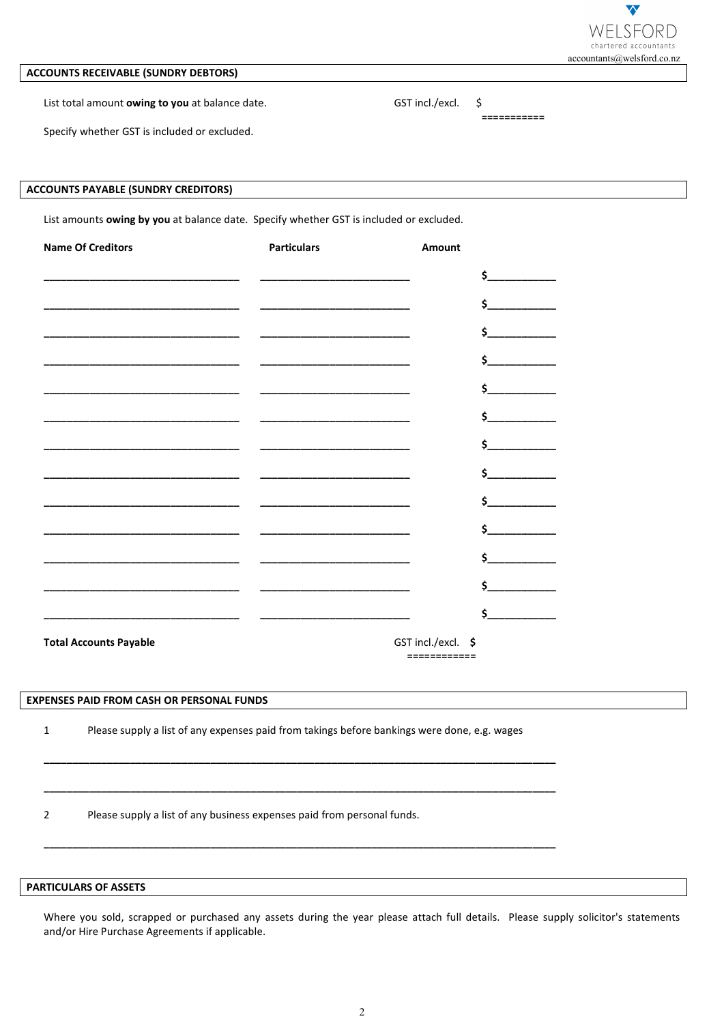

# **ACCOUNTS RECEIVABLE (SUNDRY DEBTORS)**

List total amount owing to you at balance date.

GST incl./excl.  $\mathsf{\hat{S}}$ 

Specify whether GST is included or excluded.

# **ACCOUNTS PAYABLE (SUNDRY CREDITORS)**

List amounts owing by you at balance date. Specify whether GST is included or excluded.

| <b>Name Of Creditors</b>                                                                                             | <b>Particulars</b>                                                                                                   | Amount                                                                                                                                                                                                                                                                                        |
|----------------------------------------------------------------------------------------------------------------------|----------------------------------------------------------------------------------------------------------------------|-----------------------------------------------------------------------------------------------------------------------------------------------------------------------------------------------------------------------------------------------------------------------------------------------|
| <u> 2000 - 2000 - 2000 - 2000 - 2000 - 2000 - 2000 - 2000 - 2000 - 2000 - 2000 - 2000 - 2000 - 2000 - 2000 - 200</u> |                                                                                                                      | $\mathsf{s}_-$                                                                                                                                                                                                                                                                                |
| _____________________                                                                                                | <u> 1980 - Johann John Stone, mars eta bat eta bat eta bat eta bat eta bat eta bat eta bat eta bat eta bat eta b</u> | \$                                                                                                                                                                                                                                                                                            |
|                                                                                                                      | <u> 1989 - Johann Barn, mars ann an t-Amhair an t-Amhair an t-Amhair an t-Amhair an t-Amhair an t-Amhair an t-A</u>  | \$.                                                                                                                                                                                                                                                                                           |
|                                                                                                                      |                                                                                                                      | $\sim$ 5                                                                                                                                                                                                                                                                                      |
|                                                                                                                      |                                                                                                                      | \$.                                                                                                                                                                                                                                                                                           |
|                                                                                                                      |                                                                                                                      | $\sim$ 5 $\sim$ 5 $\sim$ 5 $\sim$ 5 $\sim$ 5 $\sim$ 5 $\sim$ 5 $\sim$ 5 $\sim$ 5 $\sim$ 5 $\sim$ 5 $\sim$ 5 $\sim$ 5 $\sim$ 5 $\sim$ 5 $\sim$ 5 $\sim$ 5 $\sim$ 5 $\sim$ 5 $\sim$ 5 $\sim$ 5 $\sim$ 5 $\sim$ 5 $\sim$ 5 $\sim$ 5 $\sim$ 5 $\sim$ 5 $\sim$ 5 $\sim$ 5 $\sim$ 5 $\sim$ 5 $\sim$ |
|                                                                                                                      | _______________________________                                                                                      | $\mathsf{\dot{S}}$ and $\mathsf{\dot{S}}$                                                                                                                                                                                                                                                     |
|                                                                                                                      |                                                                                                                      | $\sim$ 5 $\sim$ 5 $\sim$ 5 $\sim$ 5 $\sim$ 5 $\sim$ 5 $\sim$ 5 $\sim$ 5 $\sim$ 5 $\sim$ 5 $\sim$ 5 $\sim$ 5 $\sim$ 5 $\sim$ 5 $\sim$ 5 $\sim$ 5 $\sim$ 5 $\sim$ 5 $\sim$ 5 $\sim$ 5 $\sim$ 5 $\sim$ 5 $\sim$ 5 $\sim$ 5 $\sim$ 5 $\sim$ 5 $\sim$ 5 $\sim$ 5 $\sim$ 5 $\sim$ 5 $\sim$ 5 $\sim$ |
|                                                                                                                      |                                                                                                                      | $\mathsf{\dot{S}}$ and $\mathsf{\dot{S}}$                                                                                                                                                                                                                                                     |
|                                                                                                                      |                                                                                                                      |                                                                                                                                                                                                                                                                                               |
| _________________________________                                                                                    |                                                                                                                      | $\sim$ 5 $\sim$ 5 $\sim$ 5 $\sim$ 5 $\sim$ 5 $\sim$ 5 $\sim$ 5 $\sim$ 5 $\sim$ 5 $\sim$ 5 $\sim$ 5 $\sim$ 5 $\sim$ 5 $\sim$ 5 $\sim$ 5 $\sim$ 5 $\sim$ 5 $\sim$ 5 $\sim$ 5 $\sim$ 5 $\sim$ 5 $\sim$ 5 $\sim$ 5 $\sim$ 5 $\sim$ 5 $\sim$ 5 $\sim$ 5 $\sim$ 5 $\sim$ 5 $\sim$ 5 $\sim$ 5 $\sim$ |
|                                                                                                                      | <u> 1989 - John Amerikaanse kommunister van die Stad</u>                                                             | Ś.                                                                                                                                                                                                                                                                                            |
|                                                                                                                      |                                                                                                                      | $\mathsf{\dot{S}}$ and $\mathsf{\dot{S}}$                                                                                                                                                                                                                                                     |
|                                                                                                                      |                                                                                                                      | \$.                                                                                                                                                                                                                                                                                           |
| <b>Total Accounts Payable</b>                                                                                        |                                                                                                                      | GST incl./excl. \$<br>============                                                                                                                                                                                                                                                            |

# **EXPENSES PAID FROM CASH OR PERSONAL FUNDS**

 $\mathbf{1}$ Please supply a list of any expenses paid from takings before bankings were done, e.g. wages

 $\overline{2}$ Please supply a list of any business expenses paid from personal funds.

### **PARTICULARS OF ASSETS**

Where you sold, scrapped or purchased any assets during the year please attach full details. Please supply solicitor's statements and/or Hire Purchase Agreements if applicable.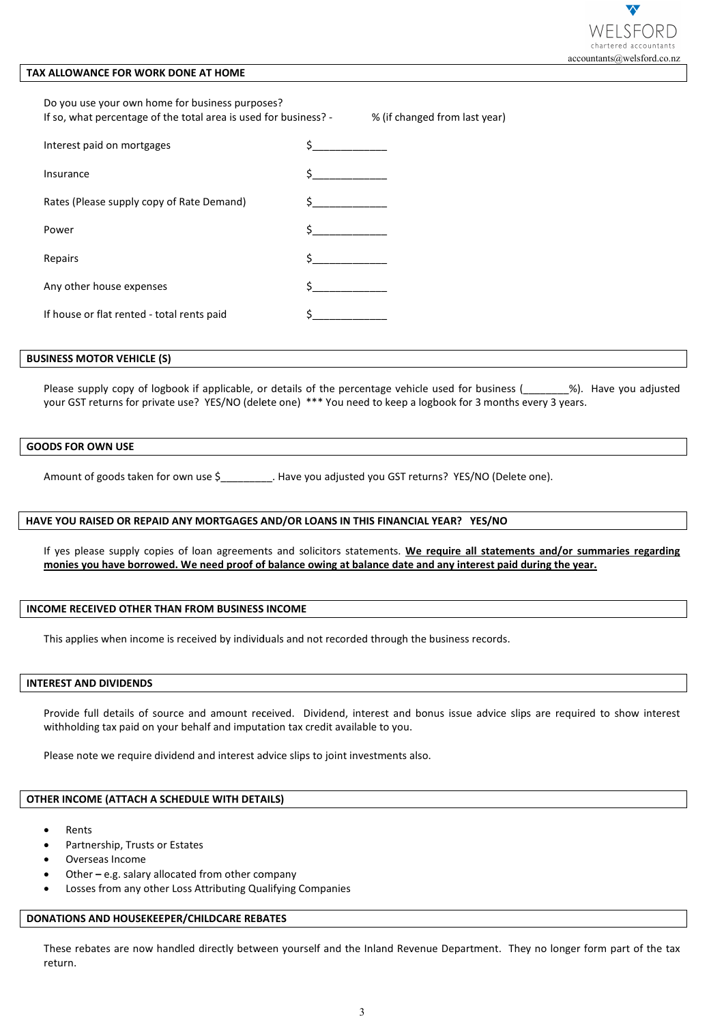

# **TAX ALLOWANCE FOR WORK DONE AT HOME**

| X ALLOWANCE FOR WORK DONE AT HOME                                                                                                                                                                              | accountants@welsford.co.nz                                                                                                                                                                                                                           |
|----------------------------------------------------------------------------------------------------------------------------------------------------------------------------------------------------------------|------------------------------------------------------------------------------------------------------------------------------------------------------------------------------------------------------------------------------------------------------|
| Do you use your own home for business purposes?<br>If so, what percentage of the total area is used for business? -<br>% (if changed from last year)                                                           |                                                                                                                                                                                                                                                      |
| Interest paid on mortgages                                                                                                                                                                                     | $\zeta$ and $\zeta$                                                                                                                                                                                                                                  |
| Insurance                                                                                                                                                                                                      |                                                                                                                                                                                                                                                      |
| Rates (Please supply copy of Rate Demand)                                                                                                                                                                      |                                                                                                                                                                                                                                                      |
| Power                                                                                                                                                                                                          |                                                                                                                                                                                                                                                      |
| Repairs                                                                                                                                                                                                        |                                                                                                                                                                                                                                                      |
| Any other house expenses                                                                                                                                                                                       |                                                                                                                                                                                                                                                      |
| If house or flat rented - total rents paid                                                                                                                                                                     |                                                                                                                                                                                                                                                      |
| <b>SINESS MOTOR VEHICLE (S)</b>                                                                                                                                                                                |                                                                                                                                                                                                                                                      |
|                                                                                                                                                                                                                | Please supply copy of logbook if applicable, or details of the percentage vehicle used for business (______%). Have you adjusted<br>your GST returns for private use? YES/NO (delete one) *** You need to keep a logbook for 3 months every 3 years. |
| ODS FOR OWN USE                                                                                                                                                                                                |                                                                                                                                                                                                                                                      |
|                                                                                                                                                                                                                | Amount of goods taken for own use \$__________. Have you adjusted you GST returns? YES/NO (Delete one).                                                                                                                                              |
| VE YOU RAISED OR REPAID ANY MORTGAGES AND/OR LOANS IN THIS FINANCIAL YEAR? YES/NO                                                                                                                              |                                                                                                                                                                                                                                                      |
|                                                                                                                                                                                                                | If yes please supply copies of loan agreements and solicitors statements. We require all statements and/or summaries regarding<br>monies you have borrowed. We need proof of balance owing at balance date and any interest paid during the year.    |
| COME RECEIVED OTHER THAN FROM BUSINESS INCOME                                                                                                                                                                  |                                                                                                                                                                                                                                                      |
| This applies when income is received by individuals and not recorded through the business records.                                                                                                             |                                                                                                                                                                                                                                                      |
| <b>TEREST AND DIVIDENDS</b>                                                                                                                                                                                    |                                                                                                                                                                                                                                                      |
| withholding tax paid on your behalf and imputation tax credit available to you.<br>Please note we require dividend and interest advice slips to joint investments also.                                        | Provide full details of source and amount received. Dividend, interest and bonus issue advice slips are required to show interest                                                                                                                    |
| HER INCOME (ATTACH A SCHEDULE WITH DETAILS)                                                                                                                                                                    |                                                                                                                                                                                                                                                      |
| Rents<br>$\bullet$<br>Partnership, Trusts or Estates<br>٠<br>Overseas Income<br>٠<br>Other - e.g. salary allocated from other company<br>٠<br>Losses from any other Loss Attributing Qualifying Companies<br>٠ |                                                                                                                                                                                                                                                      |
| <b>INATIONS AND HOUSEKEEPER/CHILDCARE REBATES</b>                                                                                                                                                              |                                                                                                                                                                                                                                                      |
|                                                                                                                                                                                                                | These rebates are now handled directly between yourself and the Inland Revenue Department. They no longer form part of the tax                                                                                                                       |

#### **BUSINESS MOTOR VEHICLE (S)**

# **GOODS FOR OWN USE**

#### **HAVE YOU RAISED OR REPAID ANY MORTGAGES AND/OR LOANS IN THIS FINANCIAL YEAR? YES/NO HAVE ANY MORTGAGES LOANS IN THIS YES/NO**

#### **INCOME RECEIVED OTHER THAN FROM BUSINESS INCOME**

# **INTEREST AND DIVIDENDS**

#### **OTHER INCOME (ATTACH A SCHEDULE WITH DETAILS) INCOME (ATTACH A SCHEDULE**

- **Rents**
- Partnership, Trusts or Estates
- Overseas Income
- Othere.g. salary allocated from other company
- Losses from any other Loss Attributing Qualifying Companies

## **DONATIONS AND HOUSEKEEPER/CHILDCARE REBATES**

These rebates are now handled directly between yourself and the Inland Revenue Department. They no longer form part of the t tax return.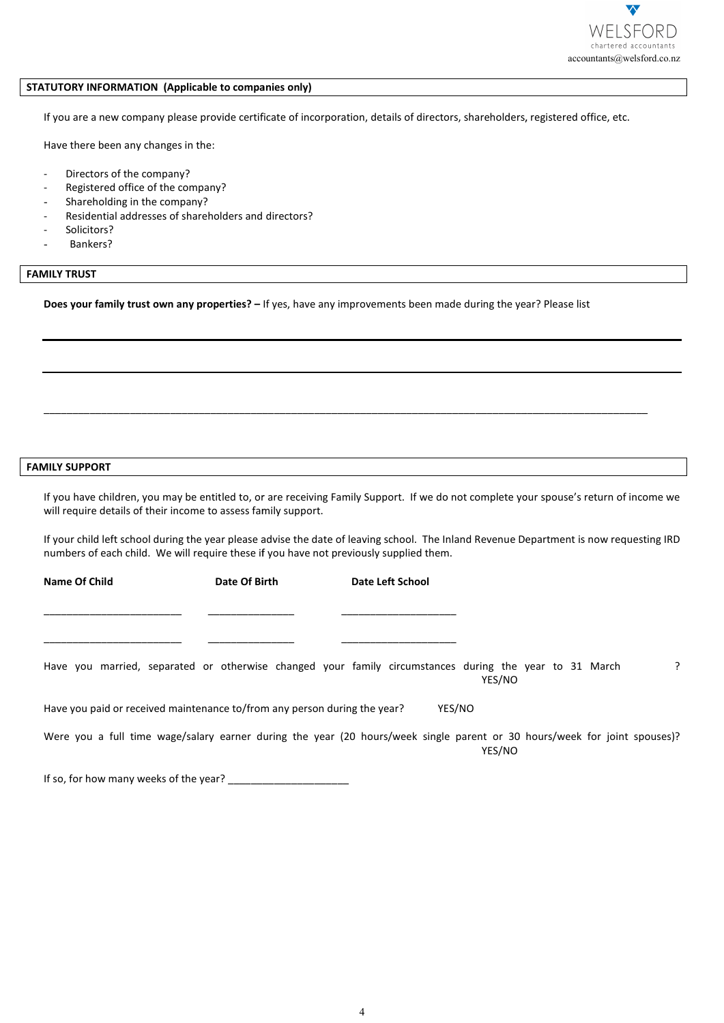

## **STATUTORY INFORMATION (Applicable to companies only)**

- Directors of the company?
- Registered office of the company?
- Shareholding in the company?
- Residential addresses of shareholders and directors?
- Solicitors?
- Bankers?

# **FAMILY TRUST**

#### **FAMILY SUPPORT**

|                                                                                            |                                                      | accountants@welsford.co.nz                                                                                                              |   |
|--------------------------------------------------------------------------------------------|------------------------------------------------------|-----------------------------------------------------------------------------------------------------------------------------------------|---|
| <b>ATUTORY INFORMATION (Applicable to companies only)</b>                                  |                                                      |                                                                                                                                         |   |
|                                                                                            |                                                      | If you are a new company please provide certificate of incorporation, details of directors, shareholders, registered office, etc.       |   |
| Have there been any changes in the:                                                        |                                                      |                                                                                                                                         |   |
| $\overline{\phantom{a}}$                                                                   |                                                      |                                                                                                                                         |   |
| Directors of the company?<br>Registered office of the company?<br>$\overline{\phantom{a}}$ |                                                      |                                                                                                                                         |   |
| Shareholding in the company?<br>$\overline{\phantom{a}}$                                   |                                                      |                                                                                                                                         |   |
| $\overline{\phantom{a}}$                                                                   | Residential addresses of shareholders and directors? |                                                                                                                                         |   |
| Solicitors?<br>$\overline{\phantom{a}}$                                                    |                                                      |                                                                                                                                         |   |
| Bankers?                                                                                   |                                                      |                                                                                                                                         |   |
| MILY TRUST                                                                                 |                                                      |                                                                                                                                         |   |
|                                                                                            |                                                      | Does your family trust own any properties? - If yes, have any improvements been made during the year? Please list                       |   |
|                                                                                            |                                                      |                                                                                                                                         |   |
|                                                                                            |                                                      |                                                                                                                                         |   |
|                                                                                            |                                                      |                                                                                                                                         |   |
|                                                                                            |                                                      |                                                                                                                                         |   |
|                                                                                            |                                                      |                                                                                                                                         |   |
|                                                                                            |                                                      |                                                                                                                                         |   |
|                                                                                            |                                                      |                                                                                                                                         |   |
| <b>MILY SUPPORT</b>                                                                        |                                                      |                                                                                                                                         |   |
| will require details of their income to assess family support.                             |                                                      | If you have children, you may be entitled to, or are receiving Family Support. If we do not complete your spouse's return of income we  |   |
| numbers of each child. We will require these if you have not previously supplied them.     |                                                      | If your child left school during the year please advise the date of leaving school. The Inland Revenue Department is now requesting IRD |   |
| <b>Name Of Child</b>                                                                       | Date Of Birth                                        | Date Left School                                                                                                                        |   |
|                                                                                            |                                                      |                                                                                                                                         |   |
|                                                                                            |                                                      |                                                                                                                                         |   |
|                                                                                            |                                                      | Have you married, separated or otherwise changed your family circumstances during the year to 31 March<br>YES/NO                        | ? |
| Have you paid or received maintenance to/from any person during the year?                  |                                                      | YES/NO                                                                                                                                  |   |
|                                                                                            |                                                      | Were you a full time wage/salary earner during the year (20 hours/week single parent or 30 hours/week for joint spouses)?<br>YES/NO     |   |
| If so, for how many weeks of the year?                                                     |                                                      |                                                                                                                                         |   |